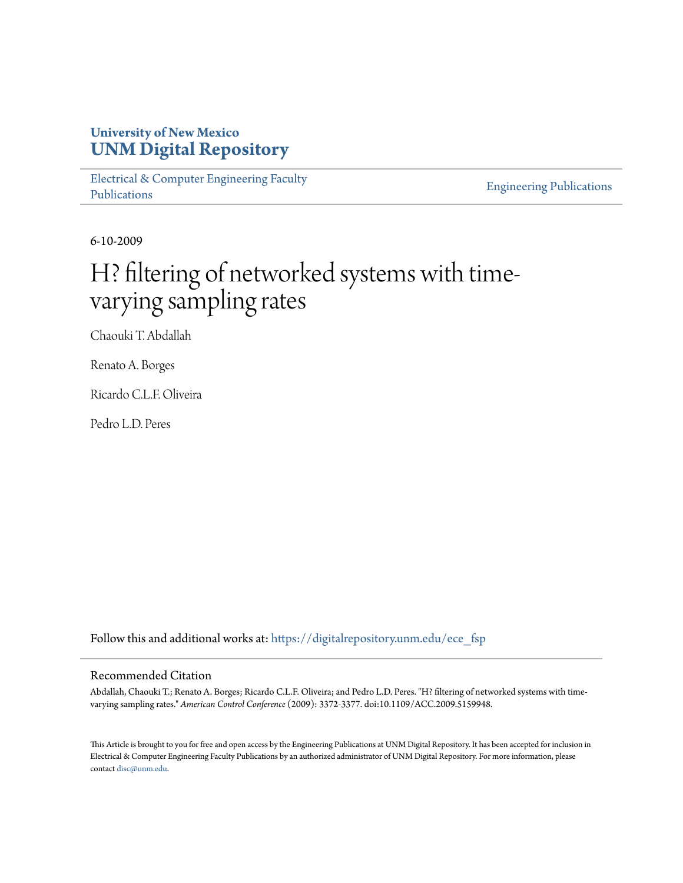## **University of New Mexico [UNM Digital Repository](https://digitalrepository.unm.edu?utm_source=digitalrepository.unm.edu%2Fece_fsp%2F133&utm_medium=PDF&utm_campaign=PDFCoverPages)**

[Electrical & Computer Engineering Faculty](https://digitalrepository.unm.edu/ece_fsp?utm_source=digitalrepository.unm.edu%2Fece_fsp%2F133&utm_medium=PDF&utm_campaign=PDFCoverPages) [Publications](https://digitalrepository.unm.edu/ece_fsp?utm_source=digitalrepository.unm.edu%2Fece_fsp%2F133&utm_medium=PDF&utm_campaign=PDFCoverPages)

[Engineering Publications](https://digitalrepository.unm.edu/eng_fsp?utm_source=digitalrepository.unm.edu%2Fece_fsp%2F133&utm_medium=PDF&utm_campaign=PDFCoverPages)

6-10-2009

# H? filtering of networked systems with timevarying sampling rates

Chaouki T. Abdallah

Renato A. Borges

Ricardo C.L.F. Oliveira

Pedro L.D. Peres

Follow this and additional works at: [https://digitalrepository.unm.edu/ece\\_fsp](https://digitalrepository.unm.edu/ece_fsp?utm_source=digitalrepository.unm.edu%2Fece_fsp%2F133&utm_medium=PDF&utm_campaign=PDFCoverPages)

### Recommended Citation

Abdallah, Chaouki T.; Renato A. Borges; Ricardo C.L.F. Oliveira; and Pedro L.D. Peres. "H? filtering of networked systems with timevarying sampling rates." *American Control Conference* (2009): 3372-3377. doi:10.1109/ACC.2009.5159948.

This Article is brought to you for free and open access by the Engineering Publications at UNM Digital Repository. It has been accepted for inclusion in Electrical & Computer Engineering Faculty Publications by an authorized administrator of UNM Digital Repository. For more information, please contact [disc@unm.edu.](mailto:disc@unm.edu)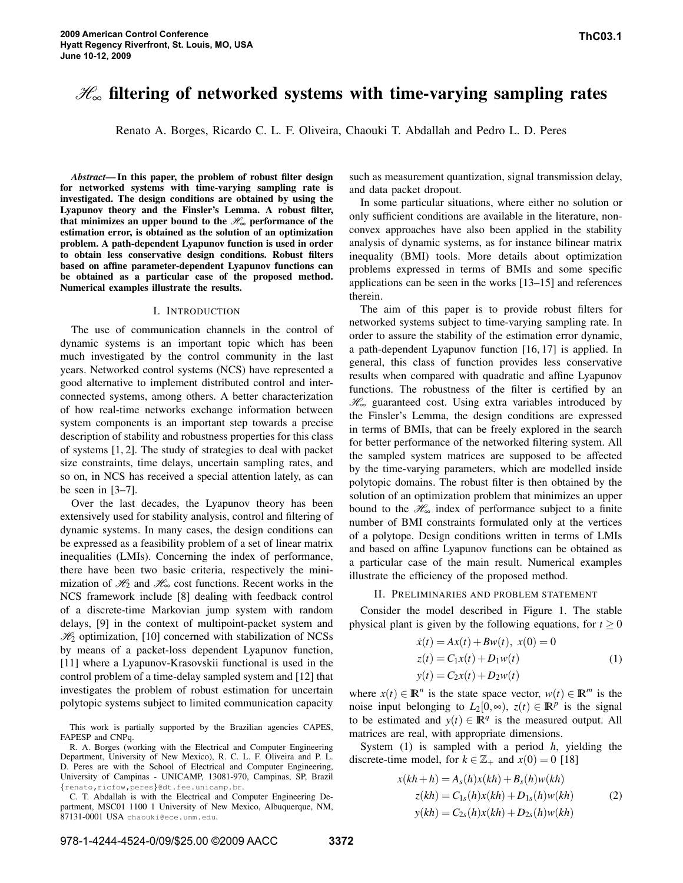## H<sup>∞</sup> **filtering of networked systems with time-varying sampling rates**

Renato A. Borges, Ricardo C. L. F. Oliveira, Chaouki T. Abdallah and Pedro L. D. Peres

*Abstract***— In this paper, the problem of robust filter design for networked systems with time-varying sampling rate is investigated. The design conditions are obtained by using the Lyapunov theory and the Finsler's Lemma. A robust filter,** that minimizes an upper bound to the  $\mathcal{H}_\infty$  performance of the **estimation error, is obtained as the solution of an optimization problem. A path-dependent Lyapunov function is used in order to obtain less conservative design conditions. Robust filters based on affine parameter-dependent Lyapunov functions can be obtained as a particular case of the proposed method. Numerical examples illustrate the results.**

#### I. INTRODUCTION

The use of communication channels in the control of dynamic systems is an important topic which has been much investigated by the control community in the last years. Networked control systems (NCS) have represented a good alternative to implement distributed control and interconnected systems, among others. A better characterization of how real-time networks exchange information between system components is an important step towards a precise description of stability and robustness properties for this class of systems [1, 2]. The study of strategies to deal with packet size constraints, time delays, uncertain sampling rates, and so on, in NCS has received a special attention lately, as can be seen in  $[3-7]$ .

Over the last decades, the Lyapunov theory has been extensively used for stability analysis, control and filtering of dynamic systems. In many cases, the design conditions can be expressed as a feasibility problem of a set of linear matrix inequalities (LMIs). Concerning the index of performance, there have been two basic criteria, respectively the minimization of  $\mathcal{H}_2$  and  $\mathcal{H}_\infty$  cost functions. Recent works in the NCS framework include [8] dealing with feedback control of a discrete-time Markovian jump system with random delays, [9] in the context of multipoint-packet system and  $\mathcal{H}_2$  optimization, [10] concerned with stabilization of NCSs by means of a packet-loss dependent Lyapunov function, [11] where a Lyapunov-Krasovskii functional is used in the control problem of a time-delay sampled system and [12] that investigates the problem of robust estimation for uncertain polytopic systems subject to limited communication capacity

This work is partially supported by the Brazilian agencies CAPES, FAPESP and CNPq.

C. T. Abdallah is with the Electrical and Computer Engineering Department, MSC01 1100 1 University of New Mexico, Albuquerque, NM, 87131-0001 USA chaouki@ece.unm.edu.

such as measurement quantization, signal transmission delay, and data packet dropout.

In some particular situations, where either no solution or only sufficient conditions are available in the literature, nonconvex approaches have also been applied in the stability analysis of dynamic systems, as for instance bilinear matrix inequality (BMI) tools. More details about optimization problems expressed in terms of BMIs and some specific applications can be seen in the works [13–15] and references therein.

The aim of this paper is to provide robust filters for networked systems subject to time-varying sampling rate. In order to assure the stability of the estimation error dynamic, a path-dependent Lyapunov function [16, 17] is applied. In general, this class of function provides less conservative results when compared with quadratic and affine Lyapunov functions. The robustness of the filter is certified by an  $\mathcal{H}_{\infty}$  guaranteed cost. Using extra variables introduced by the Finsler's Lemma, the design conditions are expressed in terms of BMIs, that can be freely explored in the search for better performance of the networked filtering system. All the sampled system matrices are supposed to be affected by the time-varying parameters, which are modelled inside polytopic domains. The robust filter is then obtained by the solution of an optimization problem that minimizes an upper bound to the  $\mathcal{H}_{\infty}$  index of performance subject to a finite number of BMI constraints formulated only at the vertices of a polytope. Design conditions written in terms of LMIs and based on affine Lyapunov functions can be obtained as a particular case of the main result. Numerical examples illustrate the efficiency of the proposed method.

#### II. PRELIMINARIES AND PROBLEM STATEMENT

Consider the model described in Figure 1. The stable physical plant is given by the following equations, for  $t \geq 0$ 

$$
\begin{aligned}\n\dot{x}(t) &= Ax(t) + Bw(t), \ x(0) = 0 \\
z(t) &= C_1 x(t) + D_1 w(t) \\
y(t) &= C_2 x(t) + D_2 w(t)\n\end{aligned} \tag{1}
$$

where  $x(t) \in \mathbb{R}^n$  is the state space vector,  $w(t) \in \mathbb{R}^m$  is the noise input belonging to  $L_2[0,\infty)$ ,  $z(t) \in \mathbb{R}^p$  is the signal to be estimated and  $y(t) \in \mathbb{R}^q$  is the measured output. All matrices are real, with appropriate dimensions.

System (1) is sampled with a period *h*, yielding the discrete-time model, for  $k \in \mathbb{Z}_+$  and  $x(0) = 0$  [18]

$$
x(kh + h) = A_s(h)x(kh) + B_s(h)w(kh)
$$
  
\n
$$
z(kh) = C_{1s}(h)x(kh) + D_{1s}(h)w(kh)
$$
  
\n
$$
y(kh) = C_{2s}(h)x(kh) + D_{2s}(h)w(kh)
$$
\n(2)

R. A. Borges (working with the Electrical and Computer Engineering Department, University of New Mexico), R. C. L. F. Oliveira and P. L. D. Peres are with the School of Electrical and Computer Engineering, University of Campinas - UNICAMP, 13081-970, Campinas, SP, Brazil {renato,ricfow,peres}@dt.fee.unicamp.br.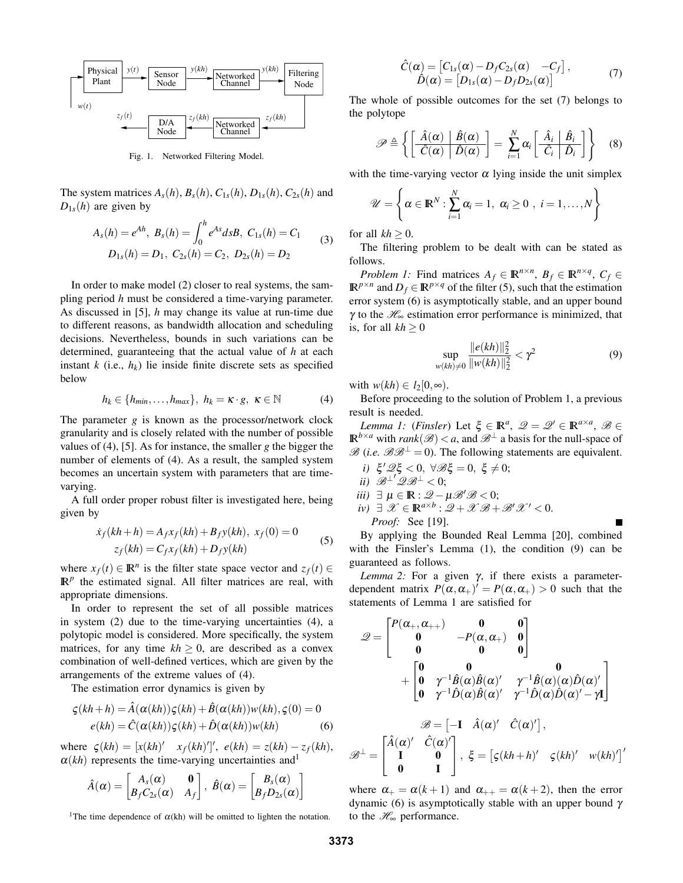

Fig. 1. Networked Filtering Model.

The system matrices  $A_s(h)$ ,  $B_s(h)$ ,  $C_{1s}(h)$ ,  $D_{1s}(h)$ ,  $C_{2s}(h)$  and  $D_{1s}(h)$  are given by

$$
A_s(h) = e^{Ah}, B_s(h) = \int_0^h e^{As} ds B, C_{1s}(h) = C_1
$$
  
\n
$$
D_{1s}(h) = D_1, C_{2s}(h) = C_2, D_{2s}(h) = D_2
$$
\n(3)

In order to make model (2) closer to real systems, the sampling period *h* must be considered a time-varying parameter. As discussed in [5], *h* may change its value at run-time due to different reasons, as bandwidth allocation and scheduling decisions. Nevertheless, bounds in such variations can be determined, guaranteeing that the actual value of *h* at each instant  $k$  (i.e.,  $h_k$ ) lie inside finite discrete sets as specified below

$$
h_k \in \{h_{min}, \dots, h_{max}\}, \ h_k = \kappa \cdot g, \ \kappa \in \mathbb{N} \tag{4}
$$

The parameter *g* is known as the processor/network clock granularity and is closely related with the number of possible values of (4), [5]. As for instance, the smaller *g* the bigger the number of elements of (4). As a result, the sampled system becomes an uncertain system with parameters that are timevarying.

A full order proper robust filter is investigated here, being given by

$$
\dot{x}_f(kh+h) = A_f x_f(kh) + B_f y(kh), \ x_f(0) = 0
$$
  

$$
z_f(kh) = C_f x_f(kh) + D_f y(kh)
$$
 (5)

where  $x_f(t) \in \mathbb{R}^n$  is the filter state space vector and  $z_f(t) \in$  $\mathbb{R}^p$  the estimated signal. All filter matrices are real, with appropriate dimensions.

In order to represent the set of all possible matrices in system (2) due to the time-varying uncertainties (4), a polytopic model is considered. More specifically, the system matrices, for any time  $kh \geq 0$ , are described as a convex combination of well-defined vertices, which are given by the arrangements of the extreme values of (4).

The estimation error dynamics is given by

$$
\varsigma(kh+h) = \hat{A}(\alpha(kh))\varsigma(kh) + \hat{B}(\alpha(kh))w(kh), \varsigma(0) = 0
$$
  
 
$$
e(kh) = \hat{C}(\alpha(kh))\varsigma(kh) + \hat{D}(\alpha(kh))w(kh)
$$
 (6)

 $\text{where } \zeta(kh) = [x(kh)' \quad x_f(kh)']', \quad e(kh) = z(kh) - z_f(kh),$  $\alpha(kh)$  represents the time-varying uncertainties and<sup>1</sup>

$$
\hat{A}(\alpha) = \begin{bmatrix} A_s(\alpha) & \mathbf{0} \\ B_f C_{2s}(\alpha) & A_f \end{bmatrix}, \ \hat{B}(\alpha) = \begin{bmatrix} B_s(\alpha) \\ B_f D_{2s}(\alpha) \end{bmatrix}
$$

<sup>1</sup>The time dependence of  $\alpha$ (kh) will be omitted to lighten the notation.

$$
\hat{C}(\alpha) = [C_{1s}(\alpha) - D_f C_{2s}(\alpha) - C_f], \n\hat{D}(\alpha) = [D_{1s}(\alpha) - D_f D_{2s}(\alpha)]
$$
\n(7)

The whole of possible outcomes for the set (7) belongs to the polytope

$$
\mathscr{P} \triangleq \left\{ \left[ \frac{\hat{A}(\alpha) \mid \hat{B}(\alpha)}{\hat{C}(\alpha) \mid \hat{D}(\alpha)} \right] = \sum_{i=1}^{N} \alpha_i \left[ \frac{\hat{A}_i \mid \hat{B}_i}{\hat{C}_i \mid \hat{D}_i} \right] \right\} \quad (8)
$$

with the time-varying vector  $\alpha$  lying inside the unit simplex

$$
\mathscr{U} = \left\{ \alpha \in \mathbb{R}^N : \sum_{i=1}^N \alpha_i = 1, \ \alpha_i \geq 0 \ , \ i = 1, \ldots, N \right\}
$$

for all  $kh \geq 0$ .

The filtering problem to be dealt with can be stated as follows.

*Problem 1:* Find matrices  $A_f \in \mathbb{R}^{n \times n}$ ,  $B_f \in \mathbb{R}^{n \times q}$ ,  $C_f \in$  $\mathbb{R}^{p \times n}$  and  $D_f \in \mathbb{R}^{p \times q}$  of the filter (5), such that the estimation error system (6) is asymptotically stable, and an upper bound  $\gamma$  to the  $\mathcal{H}_{\infty}$  estimation error performance is minimized, that is, for all  $kh > 0$ 

$$
\sup_{w(kh)\neq 0} \frac{\|e(kh)\|_2^2}{\|w(kh)\|_2^2} < \gamma^2
$$
\n(9)

with  $w(kh) \in l_2[0,\infty)$ .

Before proceeding to the solution of Problem 1, a previous result is needed.

*Lemma 1:* (*Finsler*) Let  $\xi \in \mathbb{R}^a$ ,  $\mathscr{Q} = \mathscr{Q}' \in \mathbb{R}^{a \times a}$ ,  $\mathscr{B} \in$  $\mathbb{R}^{b \times a}$  with *rank*( $\mathscr{B}) < a$ , and  $\mathscr{B}^{\perp}$  a basis for the null-space of  $\mathscr{B}$  (*i.e.*  $\mathscr{B}\mathscr{B}^{\perp}=0$ ). The following statements are equivalent.

*i*)  $\xi' \mathscr{Q} \xi < 0$ ,  $\forall \mathscr{B} \xi = 0$ ,  $\xi \neq 0$ ; *ii*)  $\mathscr{B}^{\perp}$ ' $\mathscr{Q}\mathscr{B}^{\perp}$  < 0; *iii*)  $\exists \mu \in \mathbb{R}: \mathcal{Q} - \mu \mathcal{B}' \mathcal{B} < 0;$  $iv) \exists \mathscr{X} \in \mathbb{R}^{a \times b} : \mathscr{Q} + \mathscr{X} \mathscr{B} + \mathscr{B}' \mathscr{X}' < 0.$ *Proof:* See [19].

By applying the Bounded Real Lemma [20], combined with the Finsler's Lemma  $(1)$ , the condition  $(9)$  can be guaranteed as follows.

*Lemma 2:* For a given γ, if there exists a parameterdependent matrix  $P(\alpha, \alpha_+)' = P(\alpha, \alpha_+) > 0$  such that the statements of Lemma 1 are satisfied for

$$
\mathcal{Q} = \begin{bmatrix} P(\alpha_+, \alpha_{++}) & \mathbf{0} & \mathbf{0} \\ \mathbf{0} & -P(\alpha, \alpha_+) & \mathbf{0} \\ \mathbf{0} & \mathbf{0} & \mathbf{0} \end{bmatrix} + \begin{bmatrix} \mathbf{0} & \mathbf{0} & \mathbf{0} \\ \mathbf{0} & \gamma^{-1} \hat{B}(\alpha) \hat{B}(\alpha)' & \gamma^{-1} \hat{B}(\alpha) (\alpha) \hat{D}(\alpha)' \\ \mathbf{0} & \gamma^{-1} \hat{D}(\alpha) \hat{B}(\alpha)' & \gamma^{-1} \hat{D}(\alpha) \hat{D}(\alpha)' - \gamma \mathbf{I} \end{bmatrix}
$$

$$
\mathcal{B} = \begin{bmatrix} -\mathbf{I} & \hat{A}(\alpha)' & \hat{C}(\alpha)' \\ \mathbf{I} & \mathbf{0} \\ \mathbf{0} & \mathbf{I} \end{bmatrix}, \quad \xi = \begin{bmatrix} \xi(kh+h)' & \xi(kh)' & w(kh)'\end{bmatrix}'
$$

where  $\alpha_+ = \alpha(k+1)$  and  $\alpha_{++} = \alpha(k+2)$ , then the error dynamic (6) is asymptotically stable with an upper bound  $γ$ to the  $\mathcal{H}_{\infty}$  performance.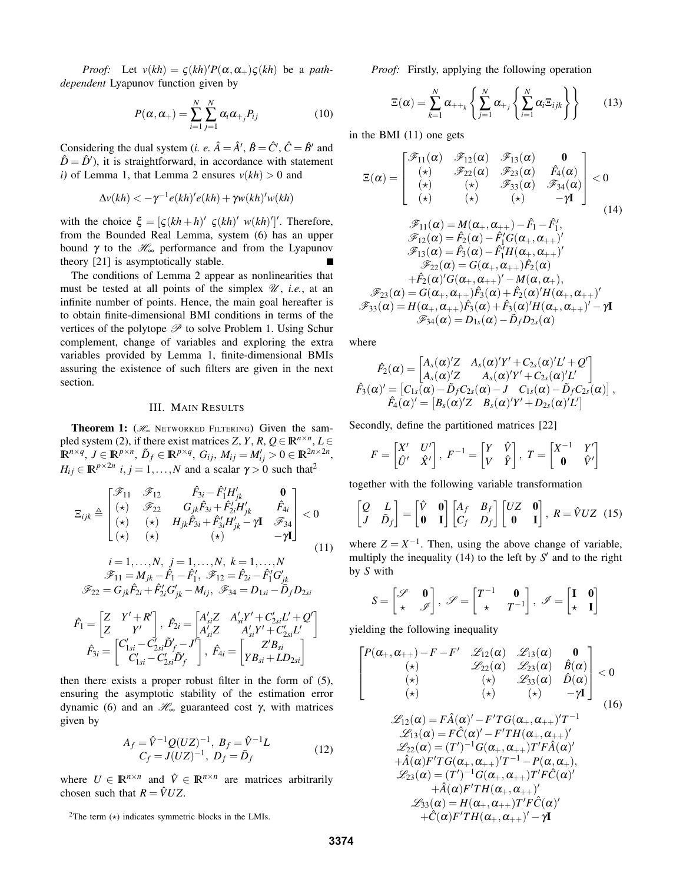*Proof:* Let  $v(kh) = \zeta(kh)'P(\alpha, \alpha_+) \zeta(kh)$  be a *pathdependent* Lyapunov function given by

$$
P(\alpha, \alpha_{+}) = \sum_{i=1}^{N} \sum_{j=1}^{N} \alpha_{i} \alpha_{+j} P_{ij}
$$
 (10)

Considering the dual system (*i. e.*  $\hat{A} = \hat{A}'$ ,  $\hat{B} = \hat{C}'$ ,  $\hat{C} = \hat{B}'$  and  $\hat{D} = \hat{D}'$ , it is straightforward, in accordance with statement *i*) of Lemma 1, that Lemma 2 ensures  $v(kh) > 0$  and

$$
\Delta v(kh) < -\gamma^{-1} e(kh)'e(kh) + \gamma w(kh)'w(kh)
$$

with the choice  $\xi = [\zeta(kh+h)^\prime \zeta(kh)^\prime w(kh)^\prime]^\prime$ . Therefore, from the Bounded Real Lemma, system (6) has an upper bound γ to the  $\mathcal{H}_{\infty}$  performance and from the Lyapunov theory [21] is asymptotically stable.

The conditions of Lemma 2 appear as nonlinearities that must be tested at all points of the simplex  $\mathcal{U}$ , *i.e.*, at an infinite number of points. Hence, the main goal hereafter is to obtain finite-dimensional BMI conditions in terms of the vertices of the polytope  $\mathscr P$  to solve Problem 1. Using Schur complement, change of variables and exploring the extra variables provided by Lemma 1, finite-dimensional BMIs assuring the existence of such filters are given in the next section.

#### III. MAIN RESULTS

**Theorem 1:** ( $H_{∞}$  NETWORKED FILTERING) Given the sampled system (2), if there exist matrices *Z*, *Y*, *R*,  $Q \in \mathbb{R}^{n \times n}$ , *L*  $\in$  $\mathbb{R}^{n \times q}$ ,  $J \in \mathbb{R}^{p \times n}$ ,  $\tilde{D}_f \in \mathbb{R}^{p \times q}$ ,  $G_{ij}$ ,  $M_{ij} = M'_{ij} > 0 \in \mathbb{R}^{2n \times 2n}$ ,  $H_{ij} \in \mathbb{R}^{p \times 2n}$  *i*, *j* = 1,...,*N* and a scalar  $\gamma > 0$  such that<sup>2</sup>

$$
\Xi_{ijk} \triangleq \begin{bmatrix}\mathcal{F}_{11} & \mathcal{F}_{12} & \hat{F}_{3i} - \hat{F}'_{1}H'_{jk} & \mathbf{0} \\
(\star) & \mathcal{F}_{22} & G_{jk}\hat{F}_{3i} + \hat{F}'_{2i}H'_{jk} & \hat{F}_{4i} \\
(\star) & (\star) & H_{jk}\hat{F}_{3i} + \hat{F}'_{3i}H'_{jk} - \gamma\mathbf{I} & \mathcal{F}_{34} \\
(\star) & (\star) & (\star) & (\star) & -\gamma\mathbf{I}\end{bmatrix} < 0
$$
\n(11)

$$
i = 1, ..., N, \quad j = 1, ..., N, \quad k = 1, ..., N
$$
  
\n
$$
\mathcal{F}_{11} = M_{jk} - \hat{F}_1 - \hat{F}_1', \quad \mathcal{F}_{12} = \hat{F}_{2i} - \hat{F}_1'G_{jk}'
$$
  
\n
$$
\mathcal{F}_{22} = G_{jk}\hat{F}_{2i} + \hat{F}_{2i}'G_{jk}' - M_{ij}, \quad \mathcal{F}_{34} = D_{1si} - \tilde{D}_f D_{2si}
$$
  
\n
$$
\hat{F}_1 = \begin{bmatrix} Z & Y' + R' \\ Z & Y' \end{bmatrix}, \quad \hat{F}_{2i} = \begin{bmatrix} A'_{si}Z & A'_{si}Y' + C'_{2si}L' + Q' \\ A'_{si}Z & A'_{si}Y' + C'_{2si}L' \\ A'_{si}Z & A'_{si}Y' + C'_{2si}L' \\ C'_{1si} - C'_{2si}\tilde{D}'_f - J' \end{bmatrix}, \quad \hat{F}_{4i} = \begin{bmatrix} Z'B_{si} \\ YB_{si} + LD_{2si} \end{bmatrix}
$$

then there exists a proper robust filter in the form of (5), ensuring the asymptotic stability of the estimation error dynamic (6) and an  $\mathcal{H}_{\infty}$  guaranteed cost γ, with matrices given by

$$
A_f = \hat{V}^{-1} Q(UZ)^{-1}, B_f = \hat{V}^{-1} L
$$
  
\n
$$
C_f = J(UZ)^{-1}, D_f = \tilde{D}_f
$$
\n(12)

where  $U \in \mathbb{R}^{n \times n}$  and  $\hat{V} \in \mathbb{R}^{n \times n}$  are matrices arbitrarily chosen such that  $R = \hat{V}UZ$ .

*Proof:* Firstly, applying the following operation

$$
\Xi(\alpha) = \sum_{k=1}^{N} \alpha_{++k} \left\{ \sum_{j=1}^{N} \alpha_{+j} \left\{ \sum_{i=1}^{N} \alpha_{i} \Xi_{ijk} \right\} \right\}
$$
(13)

in the BMI (11) one gets

$$
\Xi(\alpha) = \begin{bmatrix}\n\mathcal{F}_{11}(\alpha) & \mathcal{F}_{12}(\alpha) & \mathcal{F}_{13}(\alpha) & \mathbf{0} \\
(\star) & \mathcal{F}_{22}(\alpha) & \mathcal{F}_{23}(\alpha) & \hat{F}_4(\alpha) \\
(\star) & (\star) & (\star) & \mathcal{F}_{33}(\alpha) & \mathcal{F}_{34}(\alpha) \\
(\star) & (\star) & (\star) & -\gamma \mathbf{I}\n\end{bmatrix} < 0
$$
\n
$$
\mathcal{F}_{11}(\alpha) = M(\alpha_+, \alpha_{++}) - \hat{F}_1 - \hat{F}_1',
$$
\n
$$
\mathcal{F}_{12}(\alpha) = \hat{F}_2(\alpha) - \hat{F}_1'G(\alpha_+, \alpha_{++})'
$$
\n
$$
\mathcal{F}_{13}(\alpha) = \hat{F}_3(\alpha) - \hat{F}_1'H(\alpha_+, \alpha_{++})'
$$
\n
$$
\mathcal{F}_{22}(\alpha) = G(\alpha_+, \alpha_{++})\hat{F}_2(\alpha)
$$
\n
$$
+ \hat{F}_2(\alpha)'G(\alpha_+, \alpha_{++})' - M(\alpha, \alpha_+),
$$
\n
$$
\mathcal{F}_{23}(\alpha) = G(\alpha_+, \alpha_{++})\hat{F}_3(\alpha) + \hat{F}_2(\alpha)'H(\alpha_+, \alpha_{++})'
$$
\n
$$
\mathcal{F}_{33}(\alpha) = H(\alpha_+, \alpha_{++})\hat{F}_3(\alpha) + \hat{F}_3(\alpha)'H(\alpha_+, \alpha_{++})' - \gamma \mathbf{I}
$$
\n
$$
\mathcal{F}_{34}(\alpha) = D_{1s}(\alpha) - \hat{D}_f D_{2s}(\alpha)
$$

where

$$
\hat{F}_2(\alpha) = \begin{bmatrix} A_s(\alpha)'Z & A_s(\alpha)'Y' + C_{2s}(\alpha)'L' + Q' \\ A_s(\alpha)'Z & A_s(\alpha)'Y' + C_{2s}(\alpha)'L' \end{bmatrix}
$$
  

$$
\hat{F}_3(\alpha)' = \begin{bmatrix} C_{1s}(\alpha) - \tilde{D}_f C_{2s}(\alpha) - J & C_{1s}(\alpha) - \tilde{D}_f C_{2s}(\alpha) \end{bmatrix},
$$
  

$$
\hat{F}_4(\alpha)' = \begin{bmatrix} B_s(\alpha)'Z & B_s(\alpha)'Y' + D_{2s}(\alpha)'L' \end{bmatrix}
$$

Secondly, define the partitioned matrices [22]

$$
F = \begin{bmatrix} X' & U' \\ \hat{U}' & \hat{X}' \end{bmatrix}, F^{-1} = \begin{bmatrix} Y & \hat{V} \\ V & \hat{Y} \end{bmatrix}, T = \begin{bmatrix} X^{-1} & Y' \\ \mathbf{0} & \hat{V}' \end{bmatrix}
$$

together with the following variable transformation

$$
\begin{bmatrix} Q & L \\ J & \tilde{D}_f \end{bmatrix} = \begin{bmatrix} \hat{V} & \mathbf{0} \\ \mathbf{0} & \mathbf{I} \end{bmatrix} \begin{bmatrix} A_f & B_f \\ C_f & D_f \end{bmatrix} \begin{bmatrix} UZ & \mathbf{0} \\ \mathbf{0} & \mathbf{I} \end{bmatrix}, R = \hat{V}UZ \quad (15)
$$

where  $Z = X^{-1}$ . Then, using the above change of variable, multiply the inequality  $(14)$  to the left by  $S'$  and to the right by *S* with

$$
S = \begin{bmatrix} \mathscr{S} & \mathbf{0} \\ \star & \mathscr{I} \end{bmatrix}, \ \mathscr{S} = \begin{bmatrix} T^{-1} & \mathbf{0} \\ \star & T^{-1} \end{bmatrix}, \ \mathscr{I} = \begin{bmatrix} \mathbf{I} & \mathbf{0} \\ \star & \mathbf{I} \end{bmatrix}
$$

yielding the following inequality

$$
P(\alpha_+, \alpha_{++})-F-F' \mathcal{L}_{12}(\alpha) \mathcal{L}_{13}(\alpha) \mathbf{0}
$$
  
\n
$$
(\star) \mathcal{L}_{22}(\alpha) \mathcal{L}_{23}(\alpha) \hat{B}(\alpha)
$$
  
\n
$$
(\star) \mathcal{L}_{33}(\alpha) \hat{D}(\alpha)
$$
  
\n
$$
(\star) \mathcal{L}_{12}(\alpha) + \hat{A}(\alpha)' - F'TG(\alpha_+, \alpha_{++})'T^{-1}
$$
  
\n
$$
\mathcal{L}_{12}(\alpha) = F\hat{A}(\alpha)' - F'TG(\alpha_+, \alpha_{++})'T^{-1}
$$
  
\n
$$
\mathcal{L}_{13}(\alpha) = F\hat{C}(\alpha)' - F'TH(\alpha_+, \alpha_{++})'
$$
  
\n
$$
\mathcal{L}_{22}(\alpha) = (T')^{-1}G(\alpha_+, \alpha_{++})T'F\hat{A}(\alpha)'
$$
  
\n
$$
+ \hat{A}(\alpha)F'TG(\alpha_+, \alpha_{++})T^{-1} - P(\alpha, \alpha_+),
$$
  
\n
$$
\mathcal{L}_{23}(\alpha) = (T')^{-1}G(\alpha_+, \alpha_{++})T'F\hat{C}(\alpha)'
$$
  
\n
$$
+ \hat{A}(\alpha)F'TH(\alpha_+, \alpha_{++})T'F\hat{C}(\alpha)'
$$
  
\n
$$
+ \hat{C}(\alpha)F'TH(\alpha_+, \alpha_{++})' - \gamma I
$$
  
\n(16)  
\n
$$
\mathcal{L}_{33}(\alpha) = H(\alpha_+, \alpha_{++})T'F\hat{C}(\alpha)'
$$

 $\sqrt{ }$  $\overline{1}$  $\overline{1}$  $\overline{1}$ 

<sup>&</sup>lt;sup>2</sup>The term  $(\star)$  indicates symmetric blocks in the LMIs.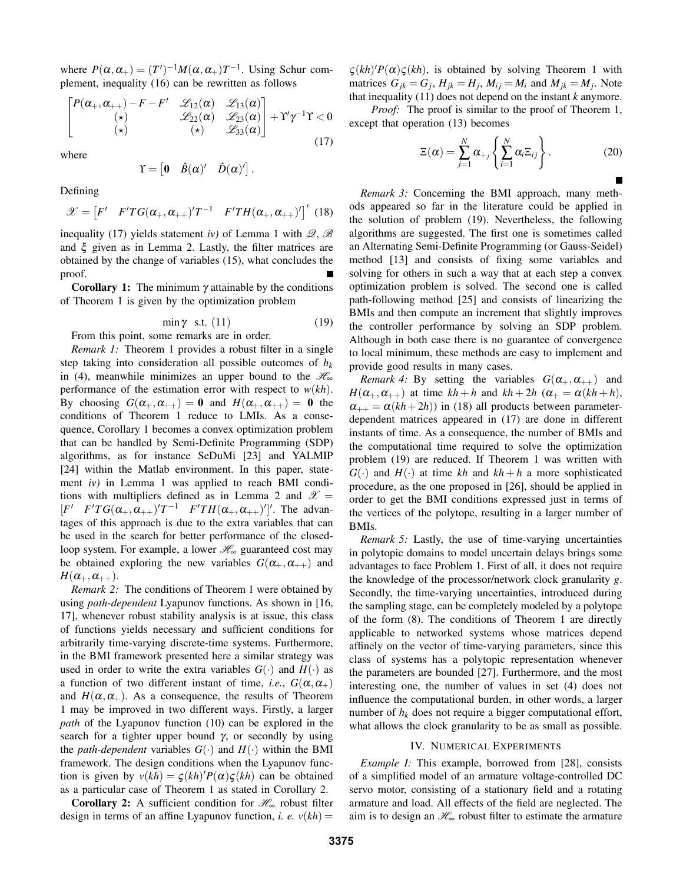where  $P(\alpha, \alpha_+) = (T')^{-1} M(\alpha, \alpha_+) T^{-1}$ . Using Schur complement, inequality (16) can be rewritten as follows

$$
\begin{bmatrix}\nP(\alpha_{+}, \alpha_{++})-F-F' & \mathcal{L}_{12}(\alpha) & \mathcal{L}_{13}(\alpha) \\
(\star) & \mathcal{L}_{22}(\alpha) & \mathcal{L}_{23}(\alpha) \\
(\star) & (\star) & \mathcal{L}_{33}(\alpha)\n\end{bmatrix} + \Upsilon' \gamma^{-1} \Upsilon < 0
$$
\n(17)

where

$$
\Upsilon = \begin{bmatrix} 0 & \hat{B}(\alpha)' & \hat{D}(\alpha)'\end{bmatrix}.
$$

Defining

$$
\mathscr{X} = \begin{bmatrix} F' & F'TG(\alpha_+,\alpha_{++})'T^{-1} & F'TH(\alpha_+,\alpha_{++})' \end{bmatrix}' \tag{18}
$$

inequality (17) yields statement *iv*) of Lemma 1 with  $\mathcal{Q}, \mathcal{B}$ and  $\xi$  given as in Lemma 2. Lastly, the filter matrices are obtained by the change of variables (15), what concludes the proof.

**Corollary 1:** The minimum  $\gamma$  attainable by the conditions of Theorem 1 is given by the optimization problem

$$
\min \gamma \quad \text{s.t.} \quad (11) \tag{19}
$$

From this point, some remarks are in order.

*Remark 1:* Theorem 1 provides a robust filter in a single step taking into consideration all possible outcomes of *h<sup>k</sup>* in (4), meanwhile minimizes an upper bound to the  $\mathcal{H}_{\infty}$ performance of the estimation error with respect to *w*(*kh*). By choosing  $G(\alpha_+,\alpha_{++})=0$  and  $H(\alpha_+,\alpha_{++})=0$  the conditions of Theorem 1 reduce to LMIs. As a consequence, Corollary 1 becomes a convex optimization problem that can be handled by Semi-Definite Programming (SDP) algorithms, as for instance SeDuMi [23] and YALMIP [24] within the Matlab environment. In this paper, statement *iv)* in Lemma 1 was applied to reach BMI conditions with multipliers defined as in Lemma 2 and  $\mathscr{X} =$  $[F' \quad F'TG(\alpha_+,\alpha_{++})'T^{-1} \quad F'TH(\alpha_+,\alpha_{++})']'.$  The advantages of this approach is due to the extra variables that can be used in the search for better performance of the closedloop system. For example, a lower  $\mathcal{H}_{\infty}$  guaranteed cost may be obtained exploring the new variables  $G(\alpha_+,\alpha_{++})$  and  $H(\alpha_+,\alpha_{++}).$ 

*Remark 2:* The conditions of Theorem 1 were obtained by using *path-dependent* Lyapunov functions. As shown in [16, 17], whenever robust stability analysis is at issue, this class of functions yields necessary and sufficient conditions for arbitrarily time-varying discrete-time systems. Furthermore, in the BMI framework presented here a similar strategy was used in order to write the extra variables  $G(\cdot)$  and  $H(\cdot)$  as a function of two different instant of time, *i.e.*,  $G(\alpha, \alpha_+)$ and  $H(\alpha, \alpha_+)$ . As a consequence, the results of Theorem 1 may be improved in two different ways. Firstly, a larger *path* of the Lyapunov function (10) can be explored in the search for a tighter upper bound  $\gamma$ , or secondly by using the *path-dependent* variables  $G(\cdot)$  and  $H(\cdot)$  within the BMI framework. The design conditions when the Lyapunov function is given by  $v(kh) = \zeta(kh)'P(\alpha)\zeta(kh)$  can be obtained as a particular case of Theorem 1 as stated in Corollary 2.

**Corollary 2:** A sufficient condition for  $\mathcal{H}_{\infty}$  robust filter design in terms of an affine Lyapunov function, *i. e.*  $v(kh)$  =

 $\zeta(kh)'P(\alpha)\zeta(kh)$ , is obtained by solving Theorem 1 with matrices  $G_{jk} = G_j$ ,  $H_{jk} = H_j$ ,  $M_{ij} = M_i$  and  $M_{jk} = M_j$ . Note that inequality (11) does not depend on the instant *k* anymore.

*Proof:* The proof is similar to the proof of Theorem 1, except that operation (13) becomes

$$
\Xi(\alpha) = \sum_{j=1}^{N} \alpha_{+j} \left\{ \sum_{i=1}^{N} \alpha_{i} \Xi_{ij} \right\}.
$$
 (20)

*Remark 3:* Concerning the BMI approach, many methods appeared so far in the literature could be applied in the solution of problem (19). Nevertheless, the following algorithms are suggested. The first one is sometimes called an Alternating Semi-Definite Programming (or Gauss-Seidel) method [13] and consists of fixing some variables and solving for others in such a way that at each step a convex optimization problem is solved. The second one is called path-following method [25] and consists of linearizing the BMIs and then compute an increment that slightly improves the controller performance by solving an SDP problem. Although in both case there is no guarantee of convergence to local minimum, these methods are easy to implement and provide good results in many cases.

*Remark 4:* By setting the variables  $G(\alpha_+,\alpha_{++})$  and  $H(\alpha_+,\alpha_{++})$  at time  $kh+h$  and  $kh+2h$  ( $\alpha_+ = \alpha(kh+h)$ ,  $\alpha_{++} = \alpha(kh+2h)$  in (18) all products between parameterdependent matrices appeared in (17) are done in different instants of time. As a consequence, the number of BMIs and the computational time required to solve the optimization problem (19) are reduced. If Theorem 1 was written with  $G(\cdot)$  and  $H(\cdot)$  at time *kh* and  $kh + h$  a more sophisticated procedure, as the one proposed in [26], should be applied in order to get the BMI conditions expressed just in terms of the vertices of the polytope, resulting in a larger number of BMIs.

*Remark 5:* Lastly, the use of time-varying uncertainties in polytopic domains to model uncertain delays brings some advantages to face Problem 1. First of all, it does not require the knowledge of the processor/network clock granularity *g*. Secondly, the time-varying uncertainties, introduced during the sampling stage, can be completely modeled by a polytope of the form (8). The conditions of Theorem 1 are directly applicable to networked systems whose matrices depend affinely on the vector of time-varying parameters, since this class of systems has a polytopic representation whenever the parameters are bounded [27]. Furthermore, and the most interesting one, the number of values in set (4) does not influence the computational burden, in other words, a larger number of  $h_k$  does not require a bigger computational effort, what allows the clock granularity to be as small as possible.

#### IV. NUMERICAL EXPERIMENTS

*Example I:* This example, borrowed from [28], consists of a simplified model of an armature voltage-controlled DC servo motor, consisting of a stationary field and a rotating armature and load. All effects of the field are neglected. The aim is to design an  $\mathcal{H}_{\infty}$  robust filter to estimate the armature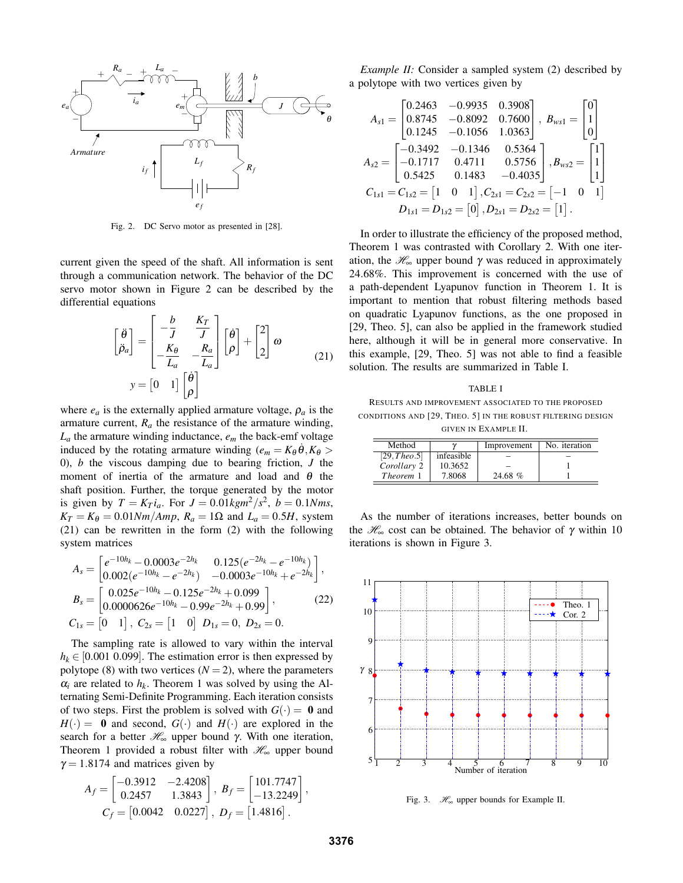

Fig. 2. DC Servo motor as presented in [28].

current given the speed of the shaft. All information is sent through a communication network. The behavior of the DC servo motor shown in Figure 2 can be described by the differential equations

$$
\begin{bmatrix} \ddot{\theta} \\ \ddot{\rho}_a \end{bmatrix} = \begin{bmatrix} -\frac{b}{J} & \frac{K_T}{J} \\ -\frac{K_\theta}{L_a} & -\frac{R_a}{L_a} \end{bmatrix} \begin{bmatrix} \dot{\theta} \\ \rho \end{bmatrix} + \begin{bmatrix} 2 \\ 2 \end{bmatrix} \omega
$$
\n
$$
y = \begin{bmatrix} 0 & 1 \end{bmatrix} \begin{bmatrix} \dot{\theta} \\ \rho \end{bmatrix}
$$
\n(21)

where  $e_a$  is the externally applied armature voltage,  $\rho_a$  is the armature current, *R<sup>a</sup>* the resistance of the armature winding,  $L_a$  the armature winding inductance,  $e_m$  the back-emf voltage induced by the rotating armature winding  $(e_m = K_\theta \theta, K_\theta >$ 0), *b* the viscous damping due to bearing friction, *J* the moment of inertia of the armature and load and  $\theta$  the shaft position. Further, the torque generated by the motor is given by  $T = K_T i_a$ . For  $J = 0.01 kgm^2/s^2$ ,  $b = 0.1 Nms$ ,  $K_T = K_\theta = 0.01 Nm/Amp$ ,  $R_a = 1\Omega$  and  $L_a = 0.5H$ , system (21) can be rewritten in the form (2) with the following system matrices

$$
A_s = \begin{bmatrix} e^{-10h_k} - 0.0003e^{-2h_k} & 0.125(e^{-2h_k} - e^{-10h_k}) \ 0.002(e^{-10h_k} - e^{-2h_k}) & -0.0003e^{-10h_k} + e^{-2h_k} \end{bmatrix},
$$
  
\n
$$
B_s = \begin{bmatrix} 0.025e^{-10h_k} - 0.125e^{-2h_k} + 0.099 \ 0.0000626e^{-10h_k} - 0.99e^{-2h_k} + 0.99 \end{bmatrix},
$$
  
\n
$$
C_{1s} = \begin{bmatrix} 0 & 1 \end{bmatrix}, C_{2s} = \begin{bmatrix} 1 & 0 \end{bmatrix}, D_{1s} = 0, D_{2s} = 0.
$$
 (22)

The sampling rate is allowed to vary within the interval  $h_k \in [0.001 \ 0.099]$ . The estimation error is then expressed by polytope (8) with two vertices  $(N = 2)$ , where the parameters  $\alpha_i$  are related to  $h_k$ . Theorem 1 was solved by using the Alternating Semi-Definite Programming. Each iteration consists of two steps. First the problem is solved with  $G(\cdot) = 0$  and  $H(\cdot) = 0$  and second,  $G(\cdot)$  and  $H(\cdot)$  are explored in the search for a better  $\mathcal{H}_{\infty}$  upper bound γ. With one iteration, Theorem 1 provided a robust filter with  $\mathcal{H}_{\infty}$  upper bound  $\gamma = 1.8174$  and matrices given by

$$
A_f = \begin{bmatrix} -0.3912 & -2.4208 \\ 0.2457 & 1.3843 \end{bmatrix}, B_f = \begin{bmatrix} 101.7747 \\ -13.2249 \end{bmatrix},
$$
  

$$
C_f = \begin{bmatrix} 0.0042 & 0.0227 \end{bmatrix}, D_f = \begin{bmatrix} 1.4816 \end{bmatrix}.
$$

*Example II:* Consider a sampled system (2) described by a polytope with two vertices given by

$$
A_{s1} = \begin{bmatrix} 0.2463 & -0.9935 & 0.3908 \\ 0.8745 & -0.8092 & 0.7600 \\ 0.1245 & -0.1056 & 1.0363 \end{bmatrix}, B_{ws1} = \begin{bmatrix} 0 \\ 1 \\ 0 \end{bmatrix}
$$
  
\n
$$
A_{s2} = \begin{bmatrix} -0.3492 & -0.1346 & 0.5364 \\ -0.1717 & 0.4711 & 0.5756 \\ 0.5425 & 0.1483 & -0.4035 \end{bmatrix}, B_{ws2} = \begin{bmatrix} 1 \\ 1 \\ 1 \end{bmatrix}
$$
  
\n
$$
C_{1s1} = C_{1s2} = \begin{bmatrix} 1 & 0 & 1 \end{bmatrix}, C_{2s1} = C_{2s2} = \begin{bmatrix} -1 & 0 & 1 \end{bmatrix}
$$
  
\n
$$
D_{1s1} = D_{1s2} = \begin{bmatrix} 0 \end{bmatrix}, D_{2s1} = D_{2s2} = \begin{bmatrix} 1 \end{bmatrix}.
$$

In order to illustrate the efficiency of the proposed method, Theorem 1 was contrasted with Corollary 2. With one iteration, the  $\mathcal{H}_{\infty}$  upper bound  $\gamma$  was reduced in approximately 24.68%. This improvement is concerned with the use of a path-dependent Lyapunov function in Theorem 1. It is important to mention that robust filtering methods based on quadratic Lyapunov functions, as the one proposed in [29, Theo. 5], can also be applied in the framework studied here, although it will be in general more conservative. In this example, [29, Theo. 5] was not able to find a feasible solution. The results are summarized in Table I.

#### TABLE I

RESULTS AND IMPROVEMENT ASSOCIATED TO THE PROPOSED CONDITIONS AND [29, THEO. 5] IN THE ROBUST FILTERING DESIGN

| given in Example II. |  |
|----------------------|--|
|----------------------|--|

| Method       |            | Improvement | No. iteration |
|--------------|------------|-------------|---------------|
| [29, Theo.5] | infeasible |             |               |
| Corollary 2  | 10.3652    |             |               |
| Theorem 1    | 7.8068     | 24.68 %     |               |

As the number of iterations increases, better bounds on the  $\mathcal{H}_{\infty}$  cost can be obtained. The behavior of  $\gamma$  within 10 iterations is shown in Figure 3.



Fig. 3.  $\mathcal{H}_{\infty}$  upper bounds for Example II.